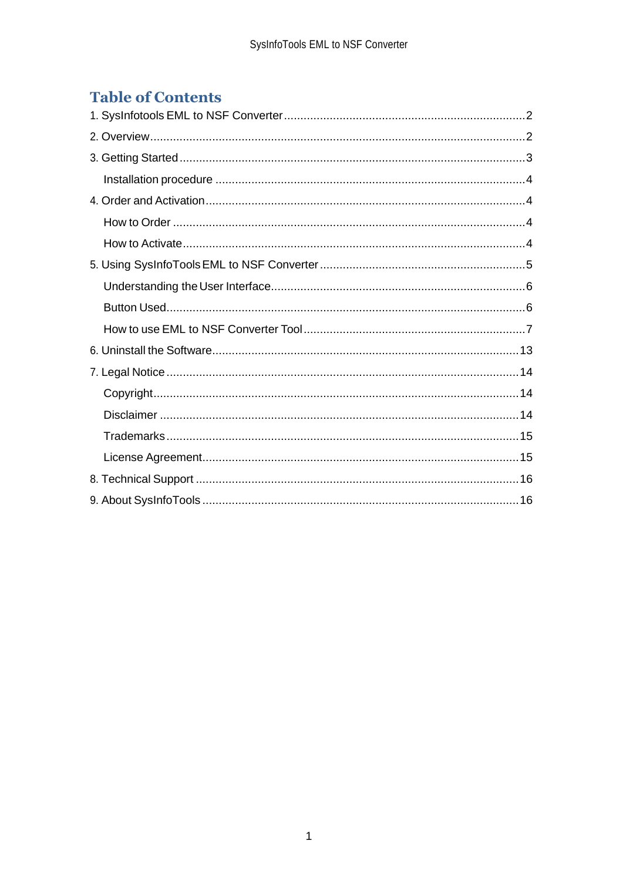# **Table of Contents**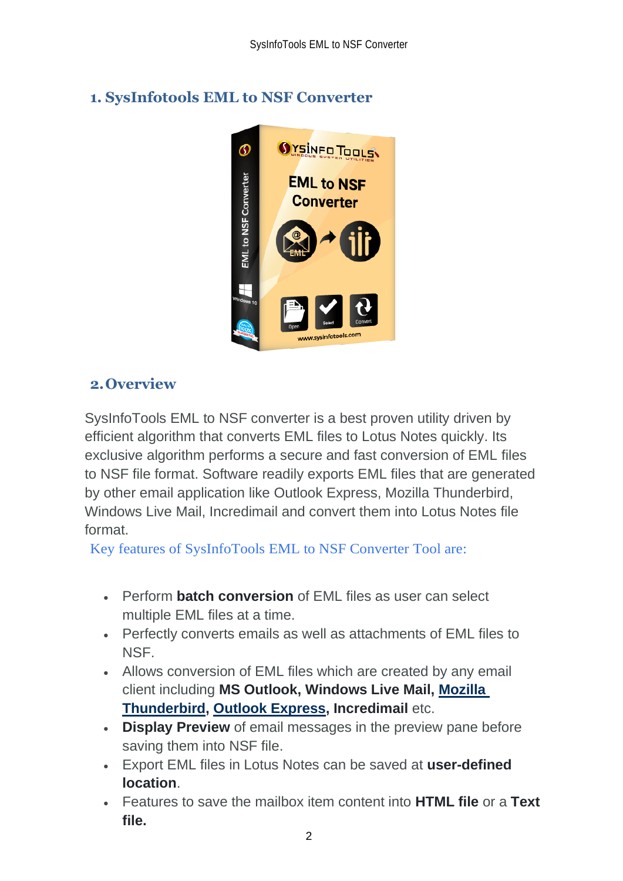<span id="page-2-0"></span>

# <span id="page-2-1"></span>**2.Overview**

SysInfoTools EML to NSF converter is a best proven utility driven by efficient algorithm that converts EML files to Lotus Notes quickly. Its exclusive algorithm performs a secure and fast conversion of EML files to NSF file format. Software readily exports EML files that are generated by other email application like Outlook Express, Mozilla Thunderbird, Windows Live Mail, Incredimail and convert them into Lotus Notes file format.

Key features of SysInfoTools EML to NSF Converter Tool are:

- Perform **batch conversion** of EML files as user can select multiple EML files at a time.
- Perfectly converts emails as well as attachments of EML files to NSF.
- Allows conversion of EML files which are created by any email client including **MS Outlook, Windows Live Mail, [Mozilla](https://sysinfotools.com/blog/import-lotus-notes-to-thunderbird/)  [Thunderbird,](https://sysinfotools.com/blog/import-lotus-notes-to-thunderbird/) [Outlook Express,](https://sysinfotools.com/blog/import-dbx-to-nsf-format/) Incredimail** etc.
- **Display Preview** of email messages in the preview pane before saving them into NSF file.
- Export EML files in Lotus Notes can be saved at **user-defined location**.
- Features to save the mailbox item content into **HTML file** or a **Text file.**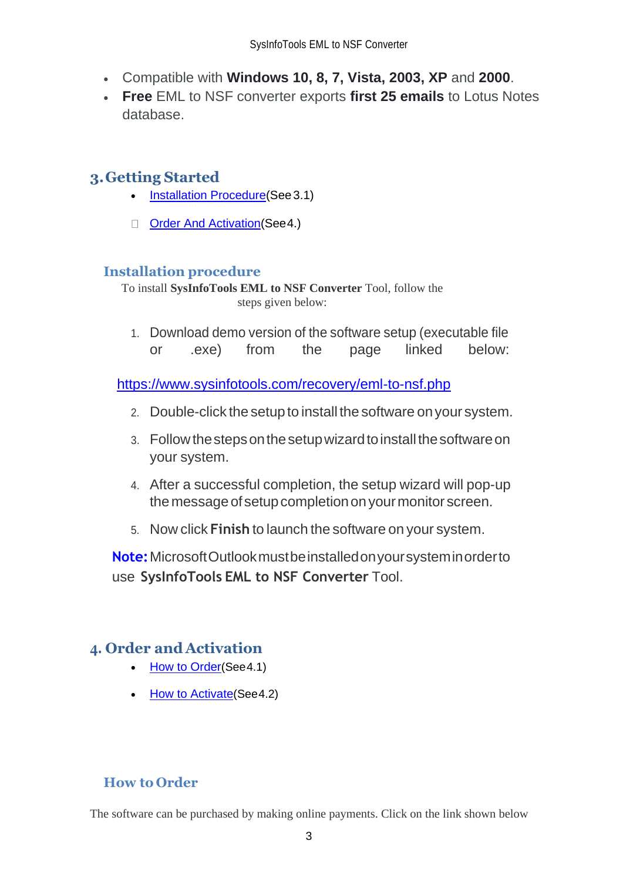- Compatible with **Windows 10, 8, 7, Vista, 2003, XP** and **2000**.
- **Free** EML to NSF converter exports **first 25 emails** to Lotus Notes database.

# <span id="page-3-0"></span>**3.Getting Started**

- [Installation Procedure\(](#page-3-1)See 3.1)
- □ [Order And Activation\(](#page-3-2)See 4.)

## <span id="page-3-1"></span>**Installation procedure**

To install **SysInfoTools EML to NSF Converter** Tool, follow the steps given below:

1. Download demo version of the software setup (executable file or .exe) from the page linked below:

<https://www.sysinfotools.com/recovery/eml-to-nsf.php>

- 2. Double-click the setup to install the software onyour system.
- 3. Followthestepsonthesetupwizardtoinstallthesoftwareon your system.
- 4. After a successful completion, the setup wizard will pop-up the message of setup completion on your monitor screen.
- 5. Now click **Finish** to launch the software on your system.

**Note:**MicrosoftOutlookmustbeinstalledonyoursysteminorderto use **SysInfoTools EML to NSF Converter** Tool.

## <span id="page-3-2"></span>**4. Order and Activation**

- [How to Order](#page-3-3)(See4.1)
- **[How to Activate](#page-4-0) (See 4.2)**

## <span id="page-3-3"></span>**How to Order**

The software can be purchased by making online payments. Click on the link shown below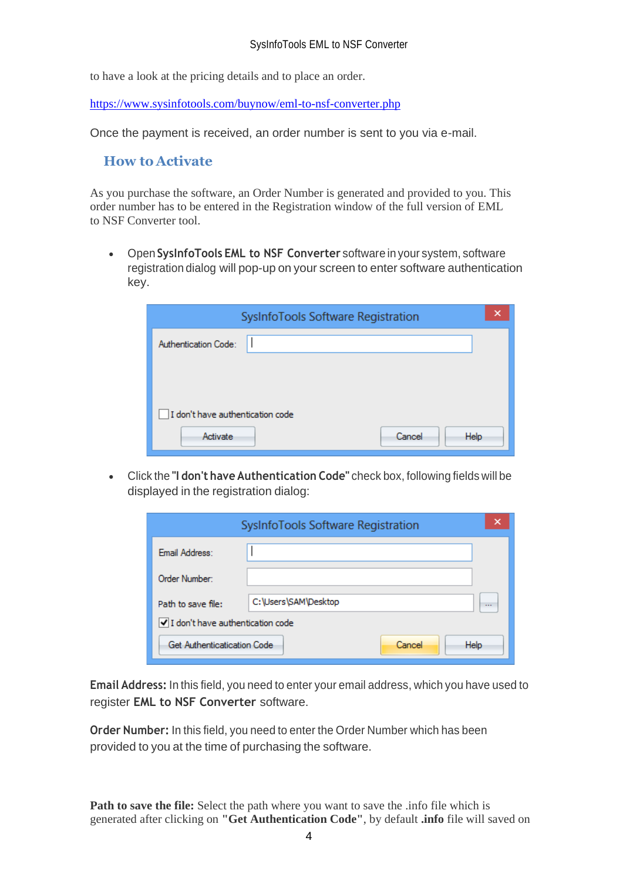to have a look at the pricing details and to place an order.

<https://www.sysinfotools.com/buynow/eml-to-nsf-converter.php>

Once the payment is received, an order number is sent to you via e-mail.

#### <span id="page-4-0"></span>**How to Activate**

As you purchase the software, an Order Number is generated and provided to you. This order number has to be entered in the Registration window of the full version of EML to NSF Converter tool.

• Open **SysInfoTools EML to NSF Converter** software in your system, software registration dialog will pop-up on your screen to enter software authentication key.

| SysInfoTools Software Registration |  |  |  |  |  |  |
|------------------------------------|--|--|--|--|--|--|
| Authentication Code:               |  |  |  |  |  |  |
|                                    |  |  |  |  |  |  |
|                                    |  |  |  |  |  |  |
| I don't have authentication code   |  |  |  |  |  |  |
| Activate<br>Cancel<br><b>Help</b>  |  |  |  |  |  |  |

• Click the **"I don't have Authentication Code"** check box, following fields will be displayed in the registration dialog:

|                                    | SysInfoTools Software Registration | ×        |
|------------------------------------|------------------------------------|----------|
| Email Address:                     |                                    |          |
| Order Number:                      |                                    |          |
| Path to save file:                 | C:\Users\SAM\Desktop               | $\cdots$ |
| √ I don't have authentication code |                                    |          |
| Get Authenticatication Code        | <b>Help</b><br>Cancel              |          |

**Email Address:** In this field, you need to enter your email address, which you have used to register **EML to NSF Converter** software.

**Order Number:** In this field, you need to enter the Order Number which has been provided to you at the time of purchasing the software.

**Path to save the file:** Select the path where you want to save the .info file which is generated after clicking on **"Get Authentication Code"**, by default **.info** file will saved on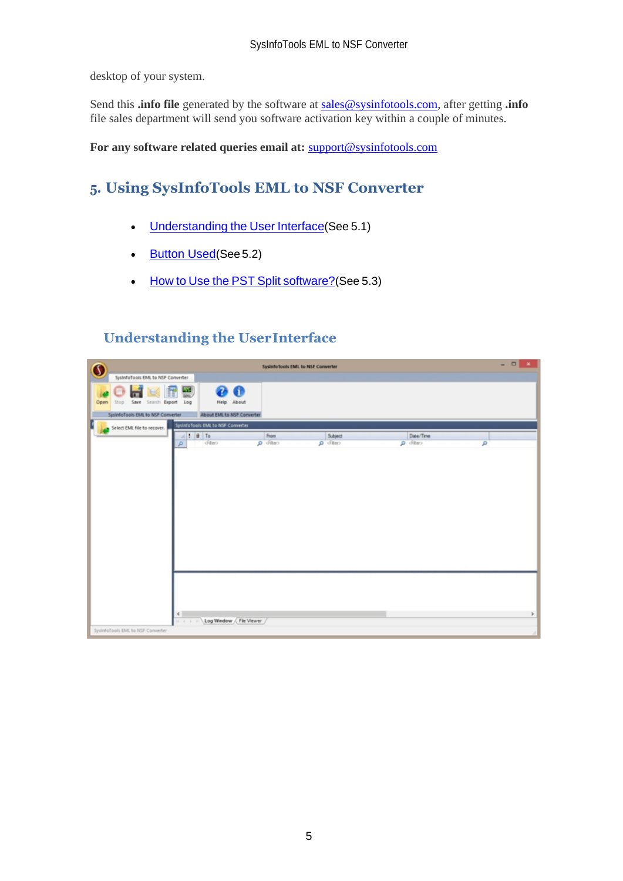desktop of your system.

Send this **.info file** generated by the software at [sales@sysinfotools.com,](mailto:sales@sysinfotools.com) after getting **.info** file sales department will send you software activation key within a couple of minutes.

**For any software related queries email at:** [support@sysinfotools.com](mailto:support@sysinfotools.com)

# <span id="page-5-0"></span>**5. Using SysInfoTools EML to NSF Converter**

- [Understanding](#page-5-1) the User Interface (See 5.1)
- **[Button Used](#page-5-2)**(See 5.2)
- How to Use the PST Split [software?](#page-6-0)(See 5.3)

## <span id="page-5-1"></span>**Understanding the UserInterface**

<span id="page-5-2"></span>

| $\mathbf 0$                         |                                                                                                                                                                                                                                                                                                                                                                                                                                                                                                              | System Tools EML to NSF Converter |         |               | $= 0 x$ |
|-------------------------------------|--------------------------------------------------------------------------------------------------------------------------------------------------------------------------------------------------------------------------------------------------------------------------------------------------------------------------------------------------------------------------------------------------------------------------------------------------------------------------------------------------------------|-----------------------------------|---------|---------------|---------|
| SystemaTools EMI, to NSF Converter  |                                                                                                                                                                                                                                                                                                                                                                                                                                                                                                              |                                   |         |               |         |
| Stop Save Search Export Log<br>Open | 00<br>똃<br>Help About                                                                                                                                                                                                                                                                                                                                                                                                                                                                                        |                                   |         |               |         |
| SysinfoTools EML to NSF Converter   | About EML to NSF Converter                                                                                                                                                                                                                                                                                                                                                                                                                                                                                   |                                   |         |               |         |
| Select EML file to recover.         | SystemoTools EML to NSF Converter                                                                                                                                                                                                                                                                                                                                                                                                                                                                            |                                   |         |               |         |
|                                     | $=$ $\frac{1}{2}$ $\frac{1}{2}$ $\frac{1}{2}$ $\frac{1}{2}$ $\frac{1}{2}$ $\frac{1}{2}$ $\frac{1}{2}$ $\frac{1}{2}$ $\frac{1}{2}$ $\frac{1}{2}$                                                                                                                                                                                                                                                                                                                                                              | From                              | Subject | Date/Time     |         |
|                                     | client<br>Q                                                                                                                                                                                                                                                                                                                                                                                                                                                                                                  | Cafe Q                            | Call O  | cation Q<br>ø |         |
|                                     |                                                                                                                                                                                                                                                                                                                                                                                                                                                                                                              |                                   |         |               |         |
|                                     |                                                                                                                                                                                                                                                                                                                                                                                                                                                                                                              |                                   |         |               |         |
| Systemologis EML to NSF Converter   | $\leftarrow$<br>Log Window / File Viewer<br>$\begin{array}{ccccccccc} \mathcal{A} & \mathcal{B} & \mathcal{B} & \mathcal{B} & \mathcal{B} & \mathcal{B} & \mathcal{B} & \mathcal{B} & \mathcal{B} & \mathcal{B} & \mathcal{B} & \mathcal{B} & \mathcal{B} & \mathcal{B} & \mathcal{B} & \mathcal{B} & \mathcal{B} & \mathcal{B} & \mathcal{B} & \mathcal{B} & \mathcal{B} & \mathcal{B} & \mathcal{B} & \mathcal{B} & \mathcal{B} & \mathcal{B} & \mathcal{B} & \mathcal{B} & \mathcal{B} & \mathcal{B} & \$ |                                   |         |               | $\,$    |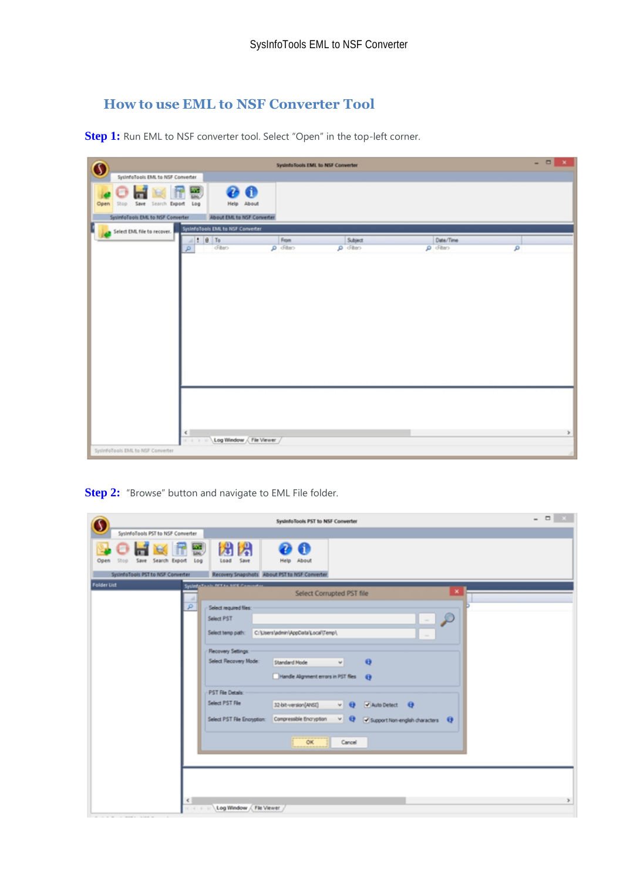## <span id="page-6-0"></span>**How to use EML to NSF Converter Tool**

**Step 1:** Run EML to NSF converter tool. Select "Open" in the top-left corner.

| O                                                                        |                                                                                                                                                                                                                                                                                                                                       | System Tools EML to NSF Converter |                    |                       | $- 0 x$ |
|--------------------------------------------------------------------------|---------------------------------------------------------------------------------------------------------------------------------------------------------------------------------------------------------------------------------------------------------------------------------------------------------------------------------------|-----------------------------------|--------------------|-----------------------|---------|
| SysterfoTools EML to NSF Converter                                       |                                                                                                                                                                                                                                                                                                                                       |                                   |                    |                       |         |
| Stop Save Search Export Log<br>Open<br>SysinfoTools EML to NSF Converter | 00<br>뗿<br>Help About<br>About EML to NSF Converter                                                                                                                                                                                                                                                                                   |                                   |                    |                       |         |
|                                                                          | Systemation EML to NSF Converter                                                                                                                                                                                                                                                                                                      |                                   |                    |                       |         |
| Select EML file to recover.                                              |                                                                                                                                                                                                                                                                                                                                       |                                   |                    |                       |         |
|                                                                          | $=$ $\frac{1}{2}$ $\frac{1}{2}$ $\frac{1}{2}$ $\frac{1}{2}$ $\frac{1}{2}$ $\frac{1}{2}$ $\frac{1}{2}$ $\frac{1}{2}$ $\frac{1}{2}$ $\frac{1}{2}$ $\frac{1}{2}$ $\frac{1}{2}$ $\frac{1}{2}$ $\frac{1}{2}$ $\frac{1}{2}$ $\frac{1}{2}$ $\frac{1}{2}$ $\frac{1}{2}$ $\frac{1}{2}$ $\frac{1}{2}$ $\frac{1}{2}$ $\frac{1}{2$<br>cFiten<br>ø | From<br>o diter                   | Subject<br>o diten | Date/Time<br>o diter- | ø       |
|                                                                          |                                                                                                                                                                                                                                                                                                                                       |                                   |                    |                       |         |
| SystrifoTools EML to NSF Converter                                       | €<br>Log Window / File Viewer /<br>$16$ $6$ $3$                                                                                                                                                                                                                                                                                       |                                   |                    |                       | $\,$    |

**Step 2:** "Browse" button and navigate to EML File folder.

| SysInfoTools PST to NSF Converter                                                                                                                                                                                                                                                                                                                                                                                                                                                                                     | $   -$ |
|-----------------------------------------------------------------------------------------------------------------------------------------------------------------------------------------------------------------------------------------------------------------------------------------------------------------------------------------------------------------------------------------------------------------------------------------------------------------------------------------------------------------------|--------|
| Systemologis PST to NSF Converter                                                                                                                                                                                                                                                                                                                                                                                                                                                                                     |        |
| 関閉<br><b>ANT</b><br>Save Search Export<br>L <sub>0</sub><br>Save<br>Help About<br>Load<br>Open<br>550p                                                                                                                                                                                                                                                                                                                                                                                                                |        |
| Recovery Snapshots About PST to NSF Converter<br>SystemoTools PST to NSF Converter<br><b>Folder List</b>                                                                                                                                                                                                                                                                                                                                                                                                              |        |
| Systematical NETAL SIEK Committee<br>×<br>Select Corrupted PST file                                                                                                                                                                                                                                                                                                                                                                                                                                                   |        |
| A<br>p<br>Select required files:<br>Select PST<br>$\sim$<br>Select temp path:<br>C:\Users\admin\AppData\Local\Temp\<br>$\sim$<br>Recovery Settings:<br>Select Recovery Mode:<br>$\Theta$<br>Standard Mode<br>w.<br>Handle Alignment errors in PST files @<br>PST File Details:<br>Select PST File<br>32-bit-version[ANSI]<br>Auto Detect <b>Q</b><br>$v \Theta$<br>$v \Theta$<br>Compressible Encryption<br>Select PST File Encryption:<br>$\blacktriangleright$ Support Non-english characters $\blacktriangleright$ |        |
| OK.<br>Cancel<br>€<br>Log Window / File Viewer                                                                                                                                                                                                                                                                                                                                                                                                                                                                        | $\,$   |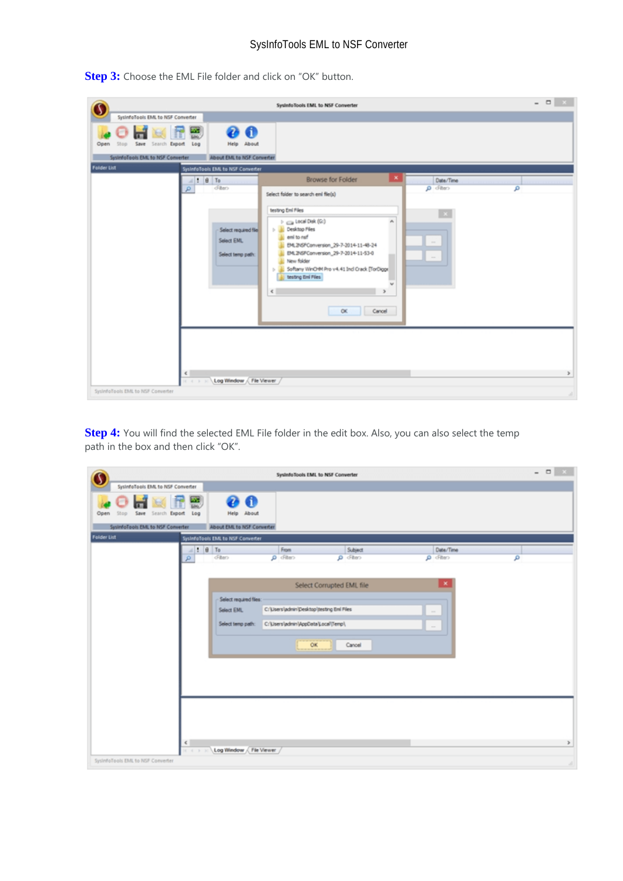|                                                                                                                                       |                                                                                                                                                                                                        | Systemological EML to NSF Converter                                                                                                                                                                                                                                                                                                                                                                                                              |                                                | $   \times$   |
|---------------------------------------------------------------------------------------------------------------------------------------|--------------------------------------------------------------------------------------------------------------------------------------------------------------------------------------------------------|--------------------------------------------------------------------------------------------------------------------------------------------------------------------------------------------------------------------------------------------------------------------------------------------------------------------------------------------------------------------------------------------------------------------------------------------------|------------------------------------------------|---------------|
| SysinfoTools EML to NSF Converter<br>Save Search Export Log<br>Open<br>goß<br>SystemoTools EML to NSF Converter<br><b>Folder List</b> | <b>@</b> 0<br>m<br>Loc.<br>Help About<br>About EML to NSF Converter<br>SysinfoTools EML to NSF Converter<br>$=$ : $\theta$ To<br>diten<br>₽<br>Select required file<br>Select EML<br>Select temp path: | ×<br><b>Browse for Folder</b><br>Select folder to search eni file(s)<br>testing Emi Files<br>$\triangleright$ $\rightleftharpoons$ Local Disk (G:)<br>$\boldsymbol{\kappa}$<br><b>Desktop Files</b><br>eni to naf<br>EML2NSPConversion_29-7-2014-11-48-24<br>IML2NSPConversion_29-7-2014-11-53-0<br>New folder<br>Softeny WinO4M Pro v4.41 Ind Crack [TorDigge]<br>b.<br>testing Emi Files<br>$\overline{\phantom{a}}$<br>$\leq$<br>OK<br>Cancel | Date/Time<br>onfo Q<br>$\sim$<br>$\frac{1}{2}$ | م             |
| ¢<br>SystrifoTools EML to NSF Converter                                                                                               | Log Window / File Viewer                                                                                                                                                                               |                                                                                                                                                                                                                                                                                                                                                                                                                                                  |                                                | $\rightarrow$ |

**Step 3:** Choose the EML File folder and click on "OK" button.

**Step 4:** You will find the selected EML File folder in the edit box. Also, you can also select the temp path in the box and then click "OK".

|                                                  | Systemologis EML to NSF Converter                                                                                                                                                                                                                                                                                                                      | $   \times$           |
|--------------------------------------------------|--------------------------------------------------------------------------------------------------------------------------------------------------------------------------------------------------------------------------------------------------------------------------------------------------------------------------------------------------------|-----------------------|
| SysinfoTools EML to NSF Converter                |                                                                                                                                                                                                                                                                                                                                                        |                       |
| Save Search Export Log<br>Stop<br>Open           | $\bullet$<br>國<br>☎<br>Help About                                                                                                                                                                                                                                                                                                                      |                       |
| SystemoTools EML to NSF Converter                | About EML to NSF Converter                                                                                                                                                                                                                                                                                                                             |                       |
| Felder List                                      | SysinfoTools EML to NSF Converter                                                                                                                                                                                                                                                                                                                      |                       |
|                                                  | $=$ $\frac{1}{2}$ $\frac{1}{2}$ $\frac{1}{2}$ $\frac{1}{2}$ $\frac{1}{2}$ $\frac{1}{2}$ $\frac{1}{2}$ $\frac{1}{2}$ $\frac{1}{2}$ $\frac{1}{2}$ $\frac{1}{2}$ $\frac{1}{2}$ $\frac{1}{2}$ $\frac{1}{2}$ $\frac{1}{2}$ $\frac{1}{2}$ $\frac{1}{2}$ $\frac{1}{2}$ $\frac{1}{2}$ $\frac{1}{2}$ $\frac{1}{2}$ $\frac{1}{2$<br>From<br>Date/Time<br>Subject |                       |
|                                                  | diten<br>O clier><br>$\rho$ diter-<br>o diter<br>ø                                                                                                                                                                                                                                                                                                     | ۹                     |
|                                                  | $\pmb{\times}$<br>Select Corrupted EML file<br>Select required files:<br>C:\Users\admin\Desktop\testing Eml Files<br>Select EML<br>$\sim$<br>C:\Users\admin\AppData\Local\Temp\<br>Select temp path:<br>$\sim$<br>OK<br>Cancel                                                                                                                         |                       |
| $\epsilon$<br>SystrifoTools EML to NSF Converter | Log Window / File Viewer<br>1111                                                                                                                                                                                                                                                                                                                       | $\rightarrow$<br>all. |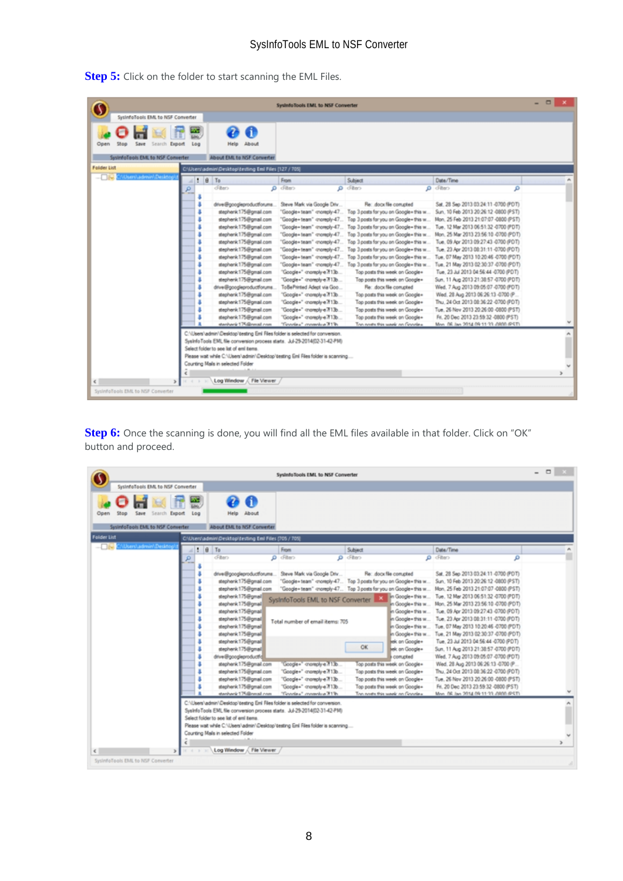|                                                                      |                                                                                                                                                                                                                                                                                                                                                                                                                                                         | SydnfoTools EMI, to NSF Converter                                                                                                                                                                                                                                                                                                                                                                                                                                        |                                                                                                                                                                                                                                                                                                                                                                                                                                                                                                                                                                                                                                                                |                                                                                                                                                                                                                                                                                                                                                                                                                                                                                                                                                                                                                                                                                                                | $\Box$ |
|----------------------------------------------------------------------|---------------------------------------------------------------------------------------------------------------------------------------------------------------------------------------------------------------------------------------------------------------------------------------------------------------------------------------------------------------------------------------------------------------------------------------------------------|--------------------------------------------------------------------------------------------------------------------------------------------------------------------------------------------------------------------------------------------------------------------------------------------------------------------------------------------------------------------------------------------------------------------------------------------------------------------------|----------------------------------------------------------------------------------------------------------------------------------------------------------------------------------------------------------------------------------------------------------------------------------------------------------------------------------------------------------------------------------------------------------------------------------------------------------------------------------------------------------------------------------------------------------------------------------------------------------------------------------------------------------------|----------------------------------------------------------------------------------------------------------------------------------------------------------------------------------------------------------------------------------------------------------------------------------------------------------------------------------------------------------------------------------------------------------------------------------------------------------------------------------------------------------------------------------------------------------------------------------------------------------------------------------------------------------------------------------------------------------------|--------|
| SysinfoTools EML to NSF Converter                                    |                                                                                                                                                                                                                                                                                                                                                                                                                                                         |                                                                                                                                                                                                                                                                                                                                                                                                                                                                          |                                                                                                                                                                                                                                                                                                                                                                                                                                                                                                                                                                                                                                                                |                                                                                                                                                                                                                                                                                                                                                                                                                                                                                                                                                                                                                                                                                                                |        |
| Open<br>Save<br>Search Export<br>System oTeols EMI, to NSF Converter | Log<br>About<br>Help<br>About EML to NSF Converter                                                                                                                                                                                                                                                                                                                                                                                                      |                                                                                                                                                                                                                                                                                                                                                                                                                                                                          |                                                                                                                                                                                                                                                                                                                                                                                                                                                                                                                                                                                                                                                                |                                                                                                                                                                                                                                                                                                                                                                                                                                                                                                                                                                                                                                                                                                                |        |
| <b>Folder List</b>                                                   | C/iUsers\admin\Desktop\testing Emi Files [127 / 705]                                                                                                                                                                                                                                                                                                                                                                                                    |                                                                                                                                                                                                                                                                                                                                                                                                                                                                          |                                                                                                                                                                                                                                                                                                                                                                                                                                                                                                                                                                                                                                                                |                                                                                                                                                                                                                                                                                                                                                                                                                                                                                                                                                                                                                                                                                                                |        |
| Wiser/Ladmin/Desktop                                                 | 9T <sub>o</sub>                                                                                                                                                                                                                                                                                                                                                                                                                                         | From                                                                                                                                                                                                                                                                                                                                                                                                                                                                     | Subject                                                                                                                                                                                                                                                                                                                                                                                                                                                                                                                                                                                                                                                        | Date/Time                                                                                                                                                                                                                                                                                                                                                                                                                                                                                                                                                                                                                                                                                                      |        |
|                                                                      | cliters                                                                                                                                                                                                                                                                                                                                                                                                                                                 | O clibers                                                                                                                                                                                                                                                                                                                                                                                                                                                                | O cliter>                                                                                                                                                                                                                                                                                                                                                                                                                                                                                                                                                                                                                                                      | $\rho$ diter-<br>۵                                                                                                                                                                                                                                                                                                                                                                                                                                                                                                                                                                                                                                                                                             |        |
|                                                                      | drive@googleproductforums<br>stephenk175@gmail.com<br>stephenk 175@gmail.com<br>stephenk 175@gmail.com<br>stephenk 175@gmail.com<br>stephenk175@gmail.com<br>stephenk 175@gmail.com<br>stephenk 175@gmail.com<br>stephenk175@gmail.com<br>stephenk 175@gmail.com<br>stephenk 175@gmail.com<br>drive@googleproductforums<br>stephenk175@gmail.com<br>stephenk175@gmail.com<br>stephenk 175@gmail.com<br>stephenk 175@gmail.com<br>stenhenk 175@nmail.com | Steve Mark via Google Driv<br>"Google+team" -monephy-47<br>"Google+team" -moreply-47<br>"Google+ team" -moreply-47<br>"Google+team" -momply-47<br>"Google+team" -montgly-47<br>"Google+team" -increply-47<br>"Google+team" -moreply-47<br>"Google+" cnomply e7f13b<br>"Google+" -momply-e7f13b<br>ToBePrinted Adept via Goo<br>"Google+" -moreply-e7f13b<br>"Google+" -monsoly-e7f13b<br>"Google+" -moreply-e 713b<br>"Google+" -momply-e 713b<br>"Grande»" manufaut 31% | Re: dock file compted<br>Top 3 posts for you on Google+ this w<br>Top 3 posts for you on Google+ this w<br>Top 3 posts for you on Google+ this w<br>Top 3 posts for you on Google+ this w<br>Top 3 posts for you on Google+ this w<br>Top 3 posts for you on Google+ this w<br>Top 3 posts for you on Google+ this w<br>"Google+ team" -moreply-47 Top 3 posts for you on Google+ this w<br>Top posts this week on Google+<br>Top posts this week on Google+<br>Re: dock file compted<br>Top posts this week on Google+<br>Top posts this week on Google+<br>Top posts this week on Google+<br>Top posts this week on Google+<br>The seats this week on Goodex | Sat. 28 Sep 2013 03:24:11-0700 (POT)<br>Sun. 10 Feb 2013 20:26:12 -0800 (PST)<br>Mon. 25 Feb 2013 21:07:07 -0800 (PST)<br>Tue. 12 Mar 2013 06:51:32 -0700 (PDT)<br>Mon. 25 Mar 2013 23:56:10 -0700 (PDT)<br>Tue, 09 Apr 2013 09:27:43 -0700 (PDT)<br>Tue. 23 Apr 2013 08:31:11 -0700 (PDT)<br>Tue, 07 May 2013 10:20:46 -0700 (PDT)<br>Tue, 21 May 2013 02:30:37 -0700 (PDT)<br>Tue, 23 Jul 2013 04:56:44 -0700 (PDT)<br>Sun, 11 Aug 2013 21:38:57 -0700 (PDT)<br>Wed. 7 Aug 2013 09:05:07 -0700 (PDT)<br>Wed. 28 Aug 2013 06:26:13 -0700 (P<br>Thu. 24 Oct 2013 08:36:22 -0700 (PDT)<br>Tue, 26 Nov 2013 20:26:00 -0800 (PST)<br>Fri. 20 Dec 2013 23:59:32 -0800 (PST)<br>Myn. 06. Jan 2014 09:11:33 JBM @ST\ |        |
|                                                                      | C:\Users\admin\Desktop\testing Enl Files folder is selected for conversion.<br>Systems Tools EML file conversion process starts. Jul-29-2014(02-31-42-PM)<br>Select folder to see lat of emi tems.<br>Please wat while C:\Users\admin\Desktop\testing Emi Files folder is scanning<br>Counting Mals in selected Folder                                                                                                                                  |                                                                                                                                                                                                                                                                                                                                                                                                                                                                          |                                                                                                                                                                                                                                                                                                                                                                                                                                                                                                                                                                                                                                                                |                                                                                                                                                                                                                                                                                                                                                                                                                                                                                                                                                                                                                                                                                                                | ñ      |
| κI<br>Systerfolloois EML to NSF Converter                            | Log Window / File Viewer                                                                                                                                                                                                                                                                                                                                                                                                                                |                                                                                                                                                                                                                                                                                                                                                                                                                                                                          |                                                                                                                                                                                                                                                                                                                                                                                                                                                                                                                                                                                                                                                                |                                                                                                                                                                                                                                                                                                                                                                                                                                                                                                                                                                                                                                                                                                                |        |

**Step 5:** Click on the folder to start scanning the EML Files.

**Step 6:** Once the scanning is done, you will find all the EML files available in that folder. Click on "OK" button and proceed.

|                                                                                   |                                                                                                                                                                                                                                                                                                                                                                                                                                                                                                                                                                                                                                                                                                                                                         | SystemoTools EML to NSF Converter                                                                                                                                                                                                                                                        |                                                                                                                                                                                                                                                                                                                                                                                                                                                                                                                          |                                                                                                                                                                                                                                                                                                                                                                                                                                                                                                                                                                                                                                                                                                                                    | $ \Box$<br>$\mathbf{x}$ |
|-----------------------------------------------------------------------------------|---------------------------------------------------------------------------------------------------------------------------------------------------------------------------------------------------------------------------------------------------------------------------------------------------------------------------------------------------------------------------------------------------------------------------------------------------------------------------------------------------------------------------------------------------------------------------------------------------------------------------------------------------------------------------------------------------------------------------------------------------------|------------------------------------------------------------------------------------------------------------------------------------------------------------------------------------------------------------------------------------------------------------------------------------------|--------------------------------------------------------------------------------------------------------------------------------------------------------------------------------------------------------------------------------------------------------------------------------------------------------------------------------------------------------------------------------------------------------------------------------------------------------------------------------------------------------------------------|------------------------------------------------------------------------------------------------------------------------------------------------------------------------------------------------------------------------------------------------------------------------------------------------------------------------------------------------------------------------------------------------------------------------------------------------------------------------------------------------------------------------------------------------------------------------------------------------------------------------------------------------------------------------------------------------------------------------------------|-------------------------|
| SysinfoTools EML to NSF Converter                                                 |                                                                                                                                                                                                                                                                                                                                                                                                                                                                                                                                                                                                                                                                                                                                                         |                                                                                                                                                                                                                                                                                          |                                                                                                                                                                                                                                                                                                                                                                                                                                                                                                                          |                                                                                                                                                                                                                                                                                                                                                                                                                                                                                                                                                                                                                                                                                                                                    |                         |
| Save<br>Search Export<br>Log<br>Open<br>Stop<br>SystemoTools EML to NSF Converter | About<br>Help<br>About EML to NSF Converter                                                                                                                                                                                                                                                                                                                                                                                                                                                                                                                                                                                                                                                                                                             |                                                                                                                                                                                                                                                                                          |                                                                                                                                                                                                                                                                                                                                                                                                                                                                                                                          |                                                                                                                                                                                                                                                                                                                                                                                                                                                                                                                                                                                                                                                                                                                                    |                         |
| <b>Folder List</b><br>Users\admin\Desktop                                         | C/IUsers\admin\Desktop\testing Eml Files (705 / 705)                                                                                                                                                                                                                                                                                                                                                                                                                                                                                                                                                                                                                                                                                                    |                                                                                                                                                                                                                                                                                          |                                                                                                                                                                                                                                                                                                                                                                                                                                                                                                                          |                                                                                                                                                                                                                                                                                                                                                                                                                                                                                                                                                                                                                                                                                                                                    |                         |
| 41                                                                                | $\theta$ To                                                                                                                                                                                                                                                                                                                                                                                                                                                                                                                                                                                                                                                                                                                                             | From                                                                                                                                                                                                                                                                                     | Subject                                                                                                                                                                                                                                                                                                                                                                                                                                                                                                                  | Date/Time                                                                                                                                                                                                                                                                                                                                                                                                                                                                                                                                                                                                                                                                                                                          |                         |
| ø                                                                                 | diten<br>drive@googleproductforums<br>stephenk175@gmail.com<br>stephenk 175@gmail.com<br>stephenk 175@gmail<br>stephenk175@gmail<br>stephenk175@gmail<br>stephenk 175@gmail<br>stephenk 175@gmail<br>stephenk 175@gmail<br>stephenk175@gmail<br>stephenk 175@gmail<br>drive@googleproductfo<br>stephenk 175@gmail.com<br>stephenk175@gmail.com<br>stephenk 175@gmail.com<br>stephenk 175@gmail.com<br>stenhenk 175@nmail.com<br>C:\Users\admin\Desktop\testing Eml Files folder is selected for conversion.<br>Systefo Tools EML file conversion process starts. Jul-29-2014(02-31-42-PM)<br>Select folder to see lat of emi tems.<br>Please wat while C:\Users\admin\Desktop\testing Emi Files folder is scanning<br>Counting Mails in selected Folder | $\rho$ dilan<br>Steve Mark via Google Driv<br>"Google+team" cnoreply-47<br>SystnfoTools EML to NSF Converter<br>Total number of email items: 705<br>Google+" cnomply-e7f13b<br>"Google+" -moneply-e7f13b<br>"Google+" -moreply-e7f13b<br>"Google+" -momply-e 713b<br>Tinodes" mondos 31% | $\rho$ cfiters<br>Re: docx file com pted<br>Top 3 posts for you on Google + this w<br>"Google+team" -increply-47 Top 3 posts for you on Google+this w<br>In Google+ this w<br>in Google+ this w<br>in Google + this w<br>in Google + this w<br>n Google+this w<br>in Google+ this w<br>eek on Google+<br><b>OK</b><br>ek on Google+<br>compted<br>Top posts this week on Google=<br>Top posts this week on Google+<br>Top posts this week on Google+<br>Top posts this week on Google+<br>The nexts this week on Genelex | O dillero<br>۵<br>Sat. 28 Sep 2013 03:24:11-0700 (PDT)<br>Sun, 10 Feb 2013 20:26:12 -0800 (PST)<br>Mon. 25 Feb 2013 21:07:07 -0800 (PST)<br>Tue. 12 Mar 2013 06:51:32 -0700 (PDT)<br>Mon. 25 Mar 2013 23:56:10 -0700 (PDT)<br>Tue, 09 Apr 2013 09:27:43 -0700 (PDT)<br>Tue, 23 Apr 2013 08:31:11 -0700 (PDT)<br>Tue, 07 May 2013 10:20:46 -0700 (PDT)<br>Tue, 21 May 2013 02:30:37 -0700 (PDT)<br>Tue, 23 Jul 2013 04:56:44 -0700 (PDT)<br>Sun, 11 Aug 2013 21:38:57 -0700 (PDT)<br>Wed. 7 Aug 2013 09:05:07 -0700 (PDT)<br>Wed. 28 Aug 2013 06:26:13 -0700 (P<br>Thu. 24 Oct 2013 08:36:22 -0700 (PDT)<br>Tue. 26 Nov 2013 20:26:00 -0800 (PST)<br>Fri. 20 Dec 2013 23:59:32 -0800 (PST)<br>Mon. 06. Jan 2014 09:11:33 //@00.@ST\ |                         |
| $\leq$                                                                            | Log Window / File Viewer                                                                                                                                                                                                                                                                                                                                                                                                                                                                                                                                                                                                                                                                                                                                |                                                                                                                                                                                                                                                                                          |                                                                                                                                                                                                                                                                                                                                                                                                                                                                                                                          |                                                                                                                                                                                                                                                                                                                                                                                                                                                                                                                                                                                                                                                                                                                                    |                         |
| SystrifoTools EML to NSF Converter                                                |                                                                                                                                                                                                                                                                                                                                                                                                                                                                                                                                                                                                                                                                                                                                                         |                                                                                                                                                                                                                                                                                          |                                                                                                                                                                                                                                                                                                                                                                                                                                                                                                                          |                                                                                                                                                                                                                                                                                                                                                                                                                                                                                                                                                                                                                                                                                                                                    |                         |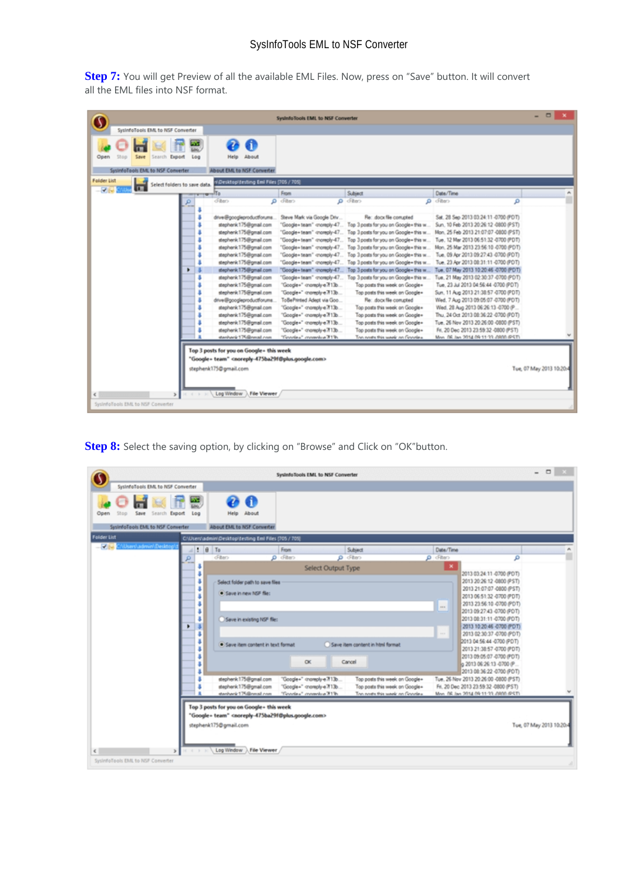**Step 7:** You will get Preview of all the available EML Files. Now, press on "Save" button. It will convert all the EML files into NSF format.

|                                             |     |                                                                                                                                                                                          | SystoloTools EMI, to NSF Converter |                                        |                                        | - 0                      |
|---------------------------------------------|-----|------------------------------------------------------------------------------------------------------------------------------------------------------------------------------------------|------------------------------------|----------------------------------------|----------------------------------------|--------------------------|
| SysterfoTools EML to NSF Converter          |     |                                                                                                                                                                                          |                                    |                                        |                                        |                          |
|                                             |     |                                                                                                                                                                                          |                                    |                                        |                                        |                          |
|                                             |     | Œ                                                                                                                                                                                        |                                    |                                        |                                        |                          |
| Save<br>Open<br>Export<br>Search            | Log | About<br>Help                                                                                                                                                                            |                                    |                                        |                                        |                          |
|                                             |     |                                                                                                                                                                                          |                                    |                                        |                                        |                          |
| System o Tools EML to NSF Converter         |     | About EML to NSF Converter                                                                                                                                                               |                                    |                                        |                                        |                          |
| <b>Folder List</b>                          |     | 1Desktopižesting Emi Files (705 / 705)                                                                                                                                                   |                                    |                                        |                                        |                          |
| Select folders to save data.<br><b>VIII</b> |     |                                                                                                                                                                                          |                                    |                                        |                                        |                          |
|                                             |     | $m$ lla                                                                                                                                                                                  | From                               | Subject                                | Date/Time                              |                          |
|                                             |     | diten                                                                                                                                                                                    | $\rho$ diter-                      | $O$ diltera                            | $Q = \sqrt{h}$ and<br>۵                |                          |
|                                             |     |                                                                                                                                                                                          |                                    |                                        |                                        |                          |
|                                             |     | drive@googleproductforums                                                                                                                                                                | Steve Mark via Google Driv         | Re: dock file compted                  | Sat. 28 Sep 2013 03:24:11-0700 (PDT)   |                          |
|                                             |     | stephenk175@gmail.com                                                                                                                                                                    | "Google+team" -monephy-47.         | Top 3 posts for you on Google+ this w  | Sun. 10 Feb 2013 20:26:12 -0800 (PST)  |                          |
|                                             |     | stephenk 175@gmail.com                                                                                                                                                                   | "Google+team" -moreply-47          | Top 3 posts for you on Google+ this w  | Mon. 25 Feb 2013 21:07:07 -0800 (PST)  |                          |
|                                             |     | stephenk 175@gmail.com                                                                                                                                                                   | "Google+ team" -moreply-47         | Top 3 posts for you on Google+ this w  | Tue. 12 Mar 2013 06:51:32 -0700 (PDT)  |                          |
|                                             |     | stephenk 175@gmail.com                                                                                                                                                                   | "Google+ team" -monephy-47         | Top 3 posts for you on Google+ this w  | Mon. 25 Mar 2013 23:56:10 -0700 (PDT)  |                          |
|                                             |     | stephenk175@gmail.com                                                                                                                                                                    | "Google+team" -montgly-47          | Top 3 posts for you on Google+ this w  | Tue, 09 Apr 2013 09:27:43 -0700 (PDT)  |                          |
|                                             |     | stephenk 175@gmail.com                                                                                                                                                                   | "Google+team" -moneply-47          | Top 3 posts for you on Google+ this w  | Tue. 23 Apr 2013 08:31:11 -0700 (PDT)  |                          |
|                                             | ٠   | stephenk 175@gmail.com                                                                                                                                                                   | "Google+team" growply-47           | Top 3 posts for you on Google+ this w. | Tue, 07 May 2013 10:20:46 -0700 (PDT)  |                          |
|                                             |     | stephenk175@gmail.com                                                                                                                                                                    | "Google+team" cnoreply-47          | Top 3 posts for you on Google+ this w  | Tue, 21 May 2013 02:30:37 -0700 (PDT)  |                          |
|                                             |     | stephenk 175@gmail.com                                                                                                                                                                   | "Google+" -moreply-e7f13b          | Top posts this week on Google+         | Tue, 23 Jul 2013 04:56:44 -0700 (PDT)  |                          |
|                                             |     | stephenk 175@gmail.com                                                                                                                                                                   | "Google+" -moreply-e7f13b          | Top posts this week on Google=         | Sun, 11 Aug 2013 21:38:57 -0700 (PDT)  |                          |
|                                             |     | drive@googleproductforums                                                                                                                                                                | ToBePrinted Adept via Goo          | Re: dock file compted                  | Wed. 7 Aug 2013 09:05:07 -0700 (PDT)   |                          |
|                                             |     | stephenk175@gmail.com                                                                                                                                                                    | "Google+" -momply-e7f13b           | Top posts this week on Google+         | Wed. 28 Aug 2013 06:26:13 -0700 (P     |                          |
|                                             |     | stephenk 175@gmail.com                                                                                                                                                                   | "Google+" -monsply-e7f13b          | Top posts this week on Google+         | Thu. 24 Oct 2013 08:36:22 -0700 (PDT)  |                          |
|                                             |     | stephenk 175@gmail.com                                                                                                                                                                   | "Google+" -moreply-e7f13b          | Top posts this week on Google+         | Tue, 26 Nov 2013 20:26:00 -0800 (PST)  |                          |
|                                             |     | stephenk175@gmail.com                                                                                                                                                                    | "Google+" -moreply-e 7f13b         | Top posts this week on Google+         | Fri. 20 Dec 2013 23:59:32 -0800 (PST)  |                          |
|                                             |     | stanisarik 175.@nmail.com                                                                                                                                                                | "Finantes" commodus 31%            | The nexts this week on Genelex         | Myn. 06.lan 2014 09:11:33 / 000 / PST) |                          |
| $\leq$                                      |     | Top 3 posts for you on Google - this week<br>"Google+ team" <noreply-475ba29f@plus.google.com><br/>stephenk175@gmail.com<br/>Log Window A File Viewer</noreply-475ba29f@plus.google.com> |                                    |                                        |                                        | Tue, 07 May 2013 10:20:4 |

**Step 8:** Select the saving option, by clicking on "Browse" and Click on "OK"button.

|                                                              |                                                                                                                                                                                            | SystemoTools EML to NSF Converter                                                |                                                                                                     |                                                                                                                                                                                                                                                                                                                                                                                                                                                    | $-$ 0 $\times$           |
|--------------------------------------------------------------|--------------------------------------------------------------------------------------------------------------------------------------------------------------------------------------------|----------------------------------------------------------------------------------|-----------------------------------------------------------------------------------------------------|----------------------------------------------------------------------------------------------------------------------------------------------------------------------------------------------------------------------------------------------------------------------------------------------------------------------------------------------------------------------------------------------------------------------------------------------------|--------------------------|
| SysinfoTools EML to NSF Converter                            |                                                                                                                                                                                            |                                                                                  |                                                                                                     |                                                                                                                                                                                                                                                                                                                                                                                                                                                    |                          |
| Save<br>Search Export<br>Open<br>Log<br><b>Stop</b>          | Help About                                                                                                                                                                                 |                                                                                  |                                                                                                     |                                                                                                                                                                                                                                                                                                                                                                                                                                                    |                          |
| SystemoTools EML to NSF Converter                            | About EML to NSF Converter                                                                                                                                                                 |                                                                                  |                                                                                                     |                                                                                                                                                                                                                                                                                                                                                                                                                                                    |                          |
| <b>Folder List</b>                                           | C/iUsers\admin\Desktop\testing Emi Files (705 / 705)                                                                                                                                       |                                                                                  |                                                                                                     |                                                                                                                                                                                                                                                                                                                                                                                                                                                    |                          |
| $ \sqrt{2}$ $\sim$<br><b>Warr/Jadmin/Desktop</b>             | 9T <sub>0</sub>                                                                                                                                                                            | From                                                                             | Subject                                                                                             | Date/Time                                                                                                                                                                                                                                                                                                                                                                                                                                          |                          |
| ø                                                            | diten                                                                                                                                                                                      | $\rho$ diter-                                                                    | $\rho$ diter-                                                                                       | O clibers<br>۹                                                                                                                                                                                                                                                                                                                                                                                                                                     |                          |
| s<br>s<br>s<br>¥<br>٠<br>s<br>s                              | Select folder path to save files<br>· Save in new NSF file:<br>Save in existing NSF file:<br>· Save item content in text format                                                            | Select Output Type<br>$\alpha$                                                   | Save item content in html format<br>Cancel                                                          | $\mathbf x$<br>2013 03:24:11-0700 (POT)<br>2013 20:26:12 -0800 (PST)<br>2013 21:07:07 -0800 (PST)<br>2013 06:51:32 -0700 (PDT)<br>2013 23:56:10 -0700 (PDT)<br>$\cdots$<br>2013 09:27:43 -0700 (PDT)<br>2013 08:31:11 -0700 (PDT)<br>2013 10:20:46 -0700 (PDT)<br>2013 02:30:37 -0700 (PDT)<br>111<br>2013 04:56:44 -0700 (PDT)<br>2013 21:38:57 -0700 (PDT)<br>2013 09:05:07 -0700 (PDT)<br>g 2013 06:26:13 -0700 (P<br>2013 08:36:22 -0700 (PDT) |                          |
|                                                              | stephenk 175@gmail.com<br>stephenk175@gmail.com<br>stanhard: 175@nmail.com                                                                                                                 | "Google+" -moreply-e7f13b<br>"Google+" -momply-e 7f13b<br>"Grandes" manuface 31% | Top posts this week on Google+<br>Top posts this week on Google+<br>Then every this week on Counter | Tue, 26 Nov 2013 20:26:00 -0800 (PST)<br>Fri. 20 Dec 2013 23:59:32 -0800 (PST)<br>Myn. 06. Jan 2014 09:11:33 J/800 @ST)                                                                                                                                                                                                                                                                                                                            |                          |
| $\mathbf{r}$<br>$\leq$<br>SystrifoTools EML to NSF Converter | Top 3 posts for you on Google - this week<br>"Google+ team" <noreply-475ba29f@plus.google.com><br/>stephenk175@gmail.com<br/>Log Window<br/>File Viewer</noreply-475ba29f@plus.google.com> |                                                                                  |                                                                                                     |                                                                                                                                                                                                                                                                                                                                                                                                                                                    | Tue, 07 May 2013 10:20:4 |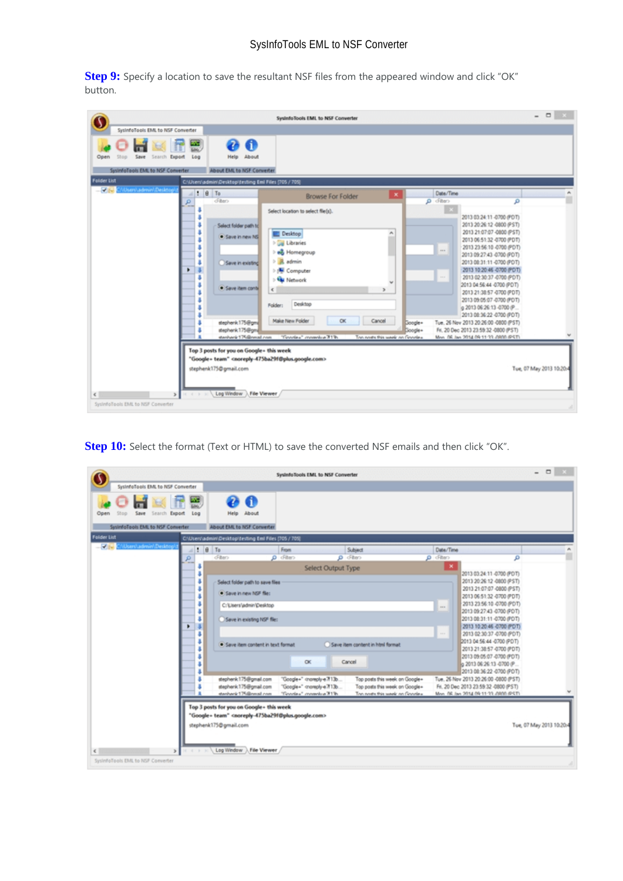**Step 9:** Specify a location to save the resultant NSF files from the appeared window and click "OK" button.

|                                                                                           |                                                                                                                                                                 | SystemoTools EML to NSF Converter                                                                                                                                                                               |                                                                                                                                                                                                                                                                                                                                                                                                     | $\Box x$                 |
|-------------------------------------------------------------------------------------------|-----------------------------------------------------------------------------------------------------------------------------------------------------------------|-----------------------------------------------------------------------------------------------------------------------------------------------------------------------------------------------------------------|-----------------------------------------------------------------------------------------------------------------------------------------------------------------------------------------------------------------------------------------------------------------------------------------------------------------------------------------------------------------------------------------------------|--------------------------|
| SysinfoTools EML to NSF Converter                                                         |                                                                                                                                                                 |                                                                                                                                                                                                                 |                                                                                                                                                                                                                                                                                                                                                                                                     |                          |
| Save<br>Search Export<br>Log<br>Open<br>System oTools EML to NSF Converter                | $\bullet$<br>æ<br>About<br>Help<br>About EML to NSF Converter                                                                                                   |                                                                                                                                                                                                                 |                                                                                                                                                                                                                                                                                                                                                                                                     |                          |
| Felder List                                                                               | C/iUsers\admin\Desktop\testing Emi Files [705 / 705]                                                                                                            |                                                                                                                                                                                                                 |                                                                                                                                                                                                                                                                                                                                                                                                     |                          |
| $-146$<br>Wisers\admin\Desktop<br>o                                                       | $\parallel$ : $\parallel$ $\parallel$ To<br>diten                                                                                                               | $\pmb{\times}$<br><b>Browse For Folder</b>                                                                                                                                                                      | Date/Time<br>O cliber>                                                                                                                                                                                                                                                                                                                                                                              | ۹                        |
| ٠<br>s                                                                                    | Select folder path to<br>· Save in new NS<br>Save in existing<br>· Save item contri                                                                             | Select location to select flie(s).<br>$\sigma_{\rm t}$<br>Desktop<br><b>Day Libraries</b><br><b>b</b> e& Homegroup<br><b>A</b> admin<br>> (N Computer<br><b>Sta Network</b><br>$\epsilon$<br>Desktop<br>Folder: | 2013 03:24:11-0700 (POT)<br>2013 20:26:12 -0800 (PST)<br>2013 21:07:07 -0800 (PST)<br>2013 06:51:32 -0700 (PDT)<br>2013 23:56:10 -0700 (PDT)<br>$***$<br>2013 09:27:43 -0700 (PDT)<br>2013 08:31:11 -0700 (PDT)<br>2013 10:20:46 -0700 (PDT)<br>22.1<br>2013 02:30:37 -0700 (PDT)<br>2013 04:56:44 -0700 (PDT)<br>2013 21:38:57-0700 (PDT)<br>2013 09:05:07 -0700 (PDT)<br>g 2013 06:26:13 -0700 (P |                          |
| $\rightarrow$<br>$\epsilon$ and the state $\epsilon$<br>Systemologis EML to NSF Converter | stephenk 175@gma<br>stephenk175@gm<br>stanhavik 175@nmail.com<br>Top 3 posts for you on Google - this week<br>stephenk175@gmail.com<br>Log Window A File Viewer | Make New Folder<br>CK.<br>Cancel<br>"Grandes" immediate 31%<br>The nexts this week on Genelex<br>"Google+ team" <noreply-475ba29f@plus.google.com></noreply-475ba29f@plus.google.com>                           | 2013 08:36:22 -0700 (PDT)<br>Tue, 26 Nov 2013 20:26:00 -0800 (PST)<br>Doogle+<br>Fri. 20 Dec 2013 23:59:32 -0800 (PST)<br>Google+<br>Mon. 06.lan 2014 09:11:33 J/800 @ST)                                                                                                                                                                                                                           | Tue, 07 May 2013 10:20:4 |

**Step 10:** Select the format (Text or HTML) to save the converted NSF emails and then click "OK".

|                                                                  |                                                                                                                                                                                            | System Tools EML to NSF Converter                      |                                                                  |                        |                                                                                                                                                                                                                                                                                                                                                                                      | $  -$                    |
|------------------------------------------------------------------|--------------------------------------------------------------------------------------------------------------------------------------------------------------------------------------------|--------------------------------------------------------|------------------------------------------------------------------|------------------------|--------------------------------------------------------------------------------------------------------------------------------------------------------------------------------------------------------------------------------------------------------------------------------------------------------------------------------------------------------------------------------------|--------------------------|
| SystemaTools EML to NSF Converter                                |                                                                                                                                                                                            |                                                        |                                                                  |                        |                                                                                                                                                                                                                                                                                                                                                                                      |                          |
| Save<br>Search Export<br>Log<br>Open<br>Stop                     | Help About                                                                                                                                                                                 |                                                        |                                                                  |                        |                                                                                                                                                                                                                                                                                                                                                                                      |                          |
| SystemoTools EML to NSF Converter                                | About EML to NSF Converter                                                                                                                                                                 |                                                        |                                                                  |                        |                                                                                                                                                                                                                                                                                                                                                                                      |                          |
| Folder List                                                      | C/IUsers/admin/Desktop/testing Eml Files [705 / 705]                                                                                                                                       |                                                        |                                                                  |                        |                                                                                                                                                                                                                                                                                                                                                                                      |                          |
| $-46$<br>(Users\admin\Desktop<br>$\parallel$ : $\parallel$ 10 To |                                                                                                                                                                                            | From                                                   | Subject                                                          | Date/Time              |                                                                                                                                                                                                                                                                                                                                                                                      |                          |
| o                                                                | diten                                                                                                                                                                                      | $\rho$ diter                                           | <b>p</b> chera                                                   | O cfilter>             | ۵                                                                                                                                                                                                                                                                                                                                                                                    |                          |
|                                                                  |                                                                                                                                                                                            | Select Output Type                                     |                                                                  | $\boldsymbol{\times}$  | 2013 03:24:11-0700 (PDT)                                                                                                                                                                                                                                                                                                                                                             |                          |
| s<br>s<br>s<br>٠<br>s                                            | Select folder path to save files<br>· Save in new NSF file:<br>C:\Users\admin\Desktop<br>Save in existing NSF file:<br>· Save item content in text format                                  | $\alpha$                                               | Save item content in Introl format<br>Cancel                     | $\sim$<br><b>START</b> | 2013 20:26:12 -0800 (PST)<br>2013 21:07:07 -0800 (PST)<br>2013 06:51:32 -0700 (PDT)<br>2013 23:56:10 -0700 (PDT)<br>2013 09:27:43 -0700 (PDT)<br>2013 08:31:11 -0700 (PDT)<br>2013 10:20:46 -0700 (PDT)<br>2013 02:30:37 -0700 (PDT)<br>2013 04:56:44 -0700 (PDT)<br>2013 21:38:57 -0700 (PDT)<br>2013 09:05:07 -0700 (PDT)<br>g 2013 06:26:13 -0700 (P<br>2013 08:36:22 -0700 (PDT) |                          |
|                                                                  | stephenk 175@gmail.com<br>stephenk175@gmail.com                                                                                                                                            | "Google+" -moreply-e7f13b<br>"Google+" -moreply-e 713b | Top posts this week on Google+<br>Top posts this week on Google+ |                        | Tue, 26 Nov 2013 20:26:00 -0800 (PST)<br>Fri. 20 Dec 2013 23:59:32 -0800 (PST)                                                                                                                                                                                                                                                                                                       |                          |
|                                                                  | stanhank 175@nmail.com                                                                                                                                                                     | "Goodes" monotos 31%                                   | The nexts this week on Genelex                                   |                        | Mon. 06.Jan 2014 09:11:33 J/800 @ST).                                                                                                                                                                                                                                                                                                                                                |                          |
| $\leq$<br>$\mathcal{P}$<br>SystrifoTools EML to NSF Converter    | Top 3 posts for you on Google - this week<br>"Google+ team" <noreply-475ba29f@plus.google.com><br/>stephenk175@gmail.com<br/>File Viewer<br/>Log Window</noreply-475ba29f@plus.google.com> |                                                        |                                                                  |                        |                                                                                                                                                                                                                                                                                                                                                                                      | Tue, 07 May 2013 10:20:4 |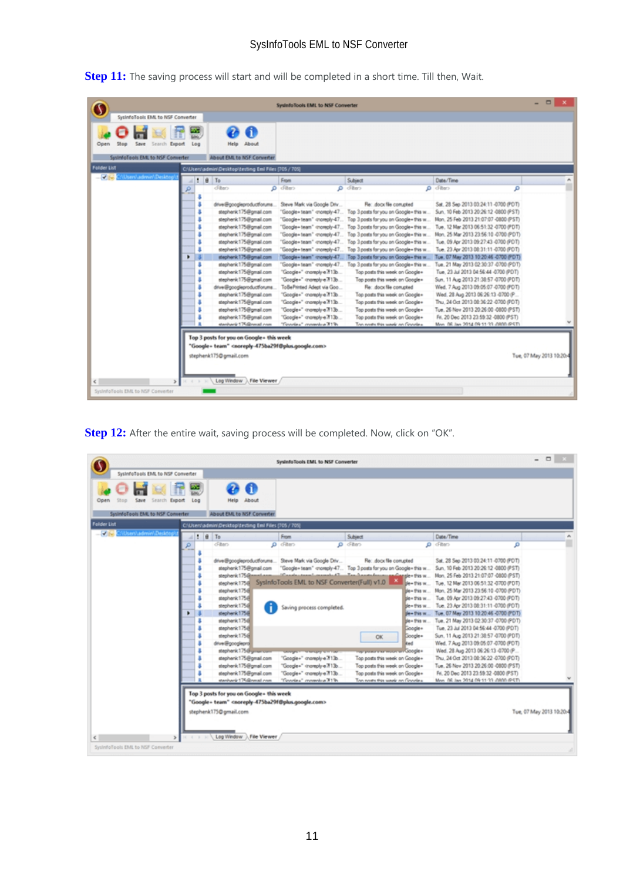**Step 11:** The saving process will start and will be completed in a short time. Till then, Wait.

|                                                                    |     |                                                                                                                                                                                                                                                                                                                                                                                                                                                           | SystemoTools EMIL to NSF Converter                                                                                                                                                                                                                                                                                                                                                                                                                                      |                                                                                                                                                                                                                                                                                                                                                                                                                                                                                                                                                                                                                                                              |                                                                                                                                                                                                                                                                                                                                                                                                                                                                                                                                                                                                                                                                                                                  | $\Box$                   |
|--------------------------------------------------------------------|-----|-----------------------------------------------------------------------------------------------------------------------------------------------------------------------------------------------------------------------------------------------------------------------------------------------------------------------------------------------------------------------------------------------------------------------------------------------------------|-------------------------------------------------------------------------------------------------------------------------------------------------------------------------------------------------------------------------------------------------------------------------------------------------------------------------------------------------------------------------------------------------------------------------------------------------------------------------|--------------------------------------------------------------------------------------------------------------------------------------------------------------------------------------------------------------------------------------------------------------------------------------------------------------------------------------------------------------------------------------------------------------------------------------------------------------------------------------------------------------------------------------------------------------------------------------------------------------------------------------------------------------|------------------------------------------------------------------------------------------------------------------------------------------------------------------------------------------------------------------------------------------------------------------------------------------------------------------------------------------------------------------------------------------------------------------------------------------------------------------------------------------------------------------------------------------------------------------------------------------------------------------------------------------------------------------------------------------------------------------|--------------------------|
| SysterdoTools EML to NSF Converter                                 |     |                                                                                                                                                                                                                                                                                                                                                                                                                                                           |                                                                                                                                                                                                                                                                                                                                                                                                                                                                         |                                                                                                                                                                                                                                                                                                                                                                                                                                                                                                                                                                                                                                                              |                                                                                                                                                                                                                                                                                                                                                                                                                                                                                                                                                                                                                                                                                                                  |                          |
| Save<br>Search Export<br>Open<br>SystemoTools EML to NSF Converter | Log | G<br>About<br>Help<br>About EML to NSF Converter                                                                                                                                                                                                                                                                                                                                                                                                          |                                                                                                                                                                                                                                                                                                                                                                                                                                                                         |                                                                                                                                                                                                                                                                                                                                                                                                                                                                                                                                                                                                                                                              |                                                                                                                                                                                                                                                                                                                                                                                                                                                                                                                                                                                                                                                                                                                  |                          |
| <b>Folder List</b>                                                 |     | C/iUsers\admin\Desktop\testing Emi Files (705 / 705)                                                                                                                                                                                                                                                                                                                                                                                                      |                                                                                                                                                                                                                                                                                                                                                                                                                                                                         |                                                                                                                                                                                                                                                                                                                                                                                                                                                                                                                                                                                                                                                              |                                                                                                                                                                                                                                                                                                                                                                                                                                                                                                                                                                                                                                                                                                                  |                          |
| User/Ladmin/Desktop<br>$-1$                                        |     | 9T <sub>o</sub>                                                                                                                                                                                                                                                                                                                                                                                                                                           | From                                                                                                                                                                                                                                                                                                                                                                                                                                                                    | Subject                                                                                                                                                                                                                                                                                                                                                                                                                                                                                                                                                                                                                                                      | Date/Time                                                                                                                                                                                                                                                                                                                                                                                                                                                                                                                                                                                                                                                                                                        |                          |
|                                                                    | ø   | diten                                                                                                                                                                                                                                                                                                                                                                                                                                                     | O dillero                                                                                                                                                                                                                                                                                                                                                                                                                                                               | $O$ cfiters                                                                                                                                                                                                                                                                                                                                                                                                                                                                                                                                                                                                                                                  | $O$ dilters<br>۹                                                                                                                                                                                                                                                                                                                                                                                                                                                                                                                                                                                                                                                                                                 |                          |
|                                                                    | ٠   | drive@googleproductforums<br>stephenk175@gmail.com<br>stephenk 175@gmail.com<br>stephenk 175@gmail.com<br>stephenk 175@gmail.com<br>stephenk 175@gmail.com<br>stephenk 175@gmail.com<br>stephenk 175@gmail.com<br>stephenk175@gmail.com<br>stephenk 175@gmail.com<br>stephenk 175@gmail.com<br>drive@googleproductforums<br>stephenk175@gmail.com<br>stephenk 175@gmail.com<br>stephenk 175@gmail.com<br>stephenk 175@gmail.com<br>stenhenk 175@nmail.com | Steve Mark via Google Driv<br>"Google+team" -montply-47.<br>"Google+team" -increply-47<br>"Google+team" moreply-47<br>"Google+ team" -moniply-47<br>"Google+team" -moreply-47<br>"Google+team" -moreply-47<br>"Google+team" cnoreply-47<br>"Google+" -momply-e7f13b<br>"Google+" -moreply-e 7f13b<br>ToBePrinted Adept via Goo<br>"Google+" -momply-e7f13b<br>"Google+" -monsply-e7f13b<br>"Google+" -moreply-e7f13b<br>"Google+" -momply-e7f13b<br>"Doodex" mondex 31% | Re: dock file compted<br>Top 3 posts for you on Google+ this w<br>Top 3 posts for you on Google+ this w<br>Top 3 posts for you on Google+ this w<br>Top 3 posts for you on Google+ this w<br>Top 3 posts for you on Google+ this w<br>Top 3 posts for you on Google+ this w<br>"Google+team" growply-47 Top 3 posts for you on Google+this w<br>Top 3 posts for you on Google+ this w<br>Top posts this week on Google+<br>Top posts this week on Google+<br>Re: dock file compted<br>Top posts this week on Google+<br>Top posts this week on Google+<br>Top posts this week on Google+<br>Top posts this week on Google+<br>The nexts this week on Genelex | Sat. 28 Sep 2013 03:24:11 -0700 (POT)<br>Sun. 10 Feb 2013 20:26:12 -0800 (PST)<br>Mon. 25 Feb 2013 21:07:07 -0800 (PST)<br>Tue. 12 Mar 2013 06:51:32 -0700 (PDT)<br>Mon. 25 Mar 2013 23:56:10 -0700 (PDT)<br>Tue, 09 Apr 2013 09:27:43 -0700 (PDT)<br>Tue. 23 Apr 2013 08:31:11 -0700 (PDT)<br>Tue, 07 May 2013 10:20:46 -0700 (PDT)<br>Tue, 21 May 2013 02:30:37 -0700 (PDT)<br>Tue, 23 Jul 2013 04:56:44 -0700 (PDT)<br>Sun, 11 Aug 2013 21:38:57 -0700 (PDT)<br>Wed. 7 Aug 2013 09:05:07 -0700 (PDT)<br>Wed. 28 Aug 2013 06:26:13 -0700 (P<br>Thu. 24 Oct 2013 08:36:22 -0700 (PDT)<br>Tue, 26 Nov 2013 20:26:00 -0800 (PST)<br>Fri. 20 Dec 2013 23:59:32 -0800 (PST)<br>Myn. 06.lan 2014 09:11:33 //@00.@ST\ |                          |
| $\rightarrow$<br>€<br>Systemologis EML to NSF Converter            |     | Top 3 posts for you on Google - this week<br>"Google+ team" <noreply-475ba29f@plus.google.com><br/>stephenk175@gmail.com<br/>Log Window ), File Viewer</noreply-475ba29f@plus.google.com>                                                                                                                                                                                                                                                                 |                                                                                                                                                                                                                                                                                                                                                                                                                                                                         |                                                                                                                                                                                                                                                                                                                                                                                                                                                                                                                                                                                                                                                              |                                                                                                                                                                                                                                                                                                                                                                                                                                                                                                                                                                                                                                                                                                                  | Tue, 07 May 2013 10:20:4 |

Step 12: After the entire wait, saving process will be completed. Now, click on "OK".

|                                              |                                                                                                                                                                                                                                                                                                                                                                        | SystemoTools EMIL to NSF Converter                                                                                                                                                           |                                                                                                                                                                                                                                                                                                                                                                                                                            |                                                                                                                                                                                                                                                                                                                                                                                                                                                                                                                                                                                                                                                                         | $\Box$ $\times$          |
|----------------------------------------------|------------------------------------------------------------------------------------------------------------------------------------------------------------------------------------------------------------------------------------------------------------------------------------------------------------------------------------------------------------------------|----------------------------------------------------------------------------------------------------------------------------------------------------------------------------------------------|----------------------------------------------------------------------------------------------------------------------------------------------------------------------------------------------------------------------------------------------------------------------------------------------------------------------------------------------------------------------------------------------------------------------------|-------------------------------------------------------------------------------------------------------------------------------------------------------------------------------------------------------------------------------------------------------------------------------------------------------------------------------------------------------------------------------------------------------------------------------------------------------------------------------------------------------------------------------------------------------------------------------------------------------------------------------------------------------------------------|--------------------------|
| SystemaTools EML to NSF Converter            |                                                                                                                                                                                                                                                                                                                                                                        |                                                                                                                                                                                              |                                                                                                                                                                                                                                                                                                                                                                                                                            |                                                                                                                                                                                                                                                                                                                                                                                                                                                                                                                                                                                                                                                                         |                          |
| Save<br>Search Export<br>Log<br>Open<br>oott | About<br>Help                                                                                                                                                                                                                                                                                                                                                          |                                                                                                                                                                                              |                                                                                                                                                                                                                                                                                                                                                                                                                            |                                                                                                                                                                                                                                                                                                                                                                                                                                                                                                                                                                                                                                                                         |                          |
| System oTools EMI, to NSF Converter          | About EML to NSF Converter                                                                                                                                                                                                                                                                                                                                             |                                                                                                                                                                                              |                                                                                                                                                                                                                                                                                                                                                                                                                            |                                                                                                                                                                                                                                                                                                                                                                                                                                                                                                                                                                                                                                                                         |                          |
| <b>Folder List</b>                           | C/iUsers\admin\Desktop\testing Emi Files (705 / 705)                                                                                                                                                                                                                                                                                                                   |                                                                                                                                                                                              |                                                                                                                                                                                                                                                                                                                                                                                                                            |                                                                                                                                                                                                                                                                                                                                                                                                                                                                                                                                                                                                                                                                         |                          |
| $ \sqrt{6}$<br>UserVadmin/Desktop            | 9T <sub>o</sub><br>From                                                                                                                                                                                                                                                                                                                                                |                                                                                                                                                                                              | Subject                                                                                                                                                                                                                                                                                                                                                                                                                    | Date/Time                                                                                                                                                                                                                                                                                                                                                                                                                                                                                                                                                                                                                                                               |                          |
| ۰                                            | diten<br>$\rho$ dilan                                                                                                                                                                                                                                                                                                                                                  | $O$ cfiters                                                                                                                                                                                  |                                                                                                                                                                                                                                                                                                                                                                                                                            | O diten<br>۹                                                                                                                                                                                                                                                                                                                                                                                                                                                                                                                                                                                                                                                            |                          |
| ٠                                            | drive@googleproductforums Steve Mark via Google Driv<br>stephenk175@gmail.com<br>stephenk 175@mmml.com<br>stephenk 175.8<br>stephenk 175d<br>stephenk175@<br>stephenk 175@<br>stephenk175@<br>stephenk 175@<br>stephenk 175.8<br>stephenk 175.8<br>drive@googlepra<br>stephenk175@gman.com<br>stephenk175@gmail.com<br>stephenk 175@gmail.com<br>stephenk175@gmail.com | SysInfoTools EML to NSF Converter(Full) v1.0<br>Saving process completed.<br><b>SANGAN MARGARETA</b><br>"Google+" -moreply-e7f13b<br>"Google+" -moreply-e7f13b<br>"Google+" -moreply-e 7f13b | Re: dock file compted<br>"Google+team" -moreply-47 Top 3 posts for you on Google+this w<br>Wanderstand mandel 1 Technology and spilling by \$8 w.<br>ble + this w<br>de= this w<br>de+this w<br>ble + this w<br>de + this w.<br>de + this w<br>Google+<br>Google =<br><b>OK</b><br>kad<br>naryone exempts on Google+<br>Top posts this week on Google+<br>Top posts this week on Google+<br>Top posts this week on Google+ | Sat. 28 Sep 2013 03:24:11-0700 (POT)<br>Sun. 10 Feb 2013 20:26:12 -0800 (PST)<br>Mon. 25 Feb 2013 21:07:07 -0800 (PST)<br>Tue. 12 Mar 2013 06:51:32 -0700 (PDT)<br>Mon. 25 Mar 2013 23:56:10 -0700 (PDT)<br>Tue, 09 Apr 2013 09:27:43 -0700 (PDT)<br>Tue. 23 Apr 2013 08:31:11 -0700 (PDT)<br>Tue, 07 May 2013 10:20:46 -0700 (PDT)<br>Tue, 21 May 2013 02:30:37 -0700 (PDT)<br>Tue, 23 Jul 2013 04:56:44 -0700 (PDT)<br>Sun, 11 Aug 2013 21:38:57 -0700 (PDT)<br>Wed. 7 Aug 2013 09:05:07 -0700 (PDT)<br>Wed. 28 Aug 2013 06:26:13 -0700 (P<br>Thu. 24 Oct 2013 08:36:22 -0700 (PDT)<br>Tue, 26 Nov 2013 20:26:00 -0800 (PST)<br>Fri. 20 Dec 2013 23:59:32 -0800 (PST) |                          |
| $\leq$<br>Systemologis EML to NSF Converter  | stenhenk 175@nmail.com<br>Top 3 posts for you on Google - this week<br>"Google+ team" <noreply-475ba29f@plus.google.com><br/>stephenk175@gmail.com<br/>Log Window ), File Viewer</noreply-475ba29f@plus.google.com>                                                                                                                                                    | "Finante»" manufaut 31%                                                                                                                                                                      | The seats this week on Goodex                                                                                                                                                                                                                                                                                                                                                                                              | Mon. 06. Isn 2014 09:11:33 JIBM (PST)                                                                                                                                                                                                                                                                                                                                                                                                                                                                                                                                                                                                                                   | Tue, 07 May 2013 10:20:4 |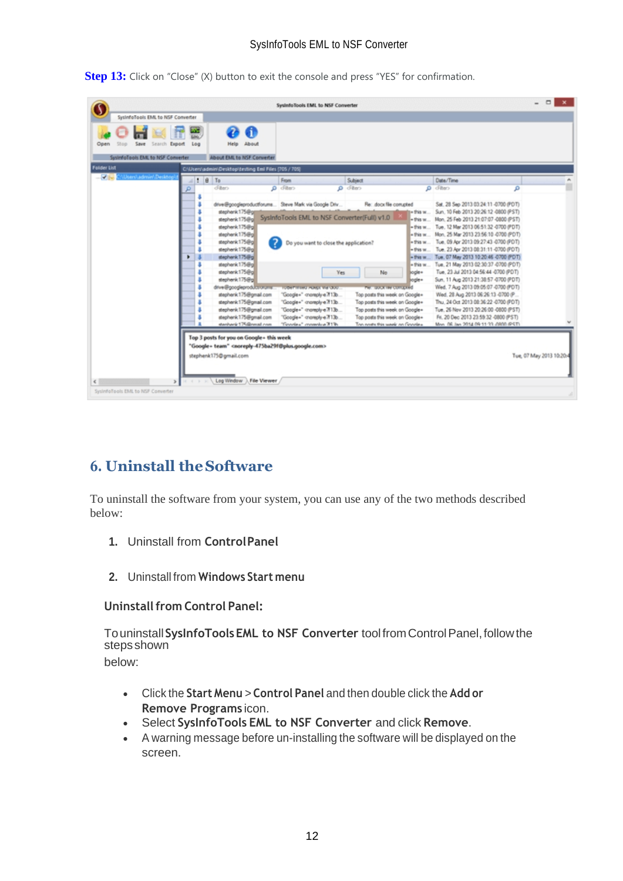**Step 13:** Click on "Close" (X) button to exit the console and press "YES" for confirmation.

| <b>Folder List</b><br>C/iUsers\admin\Desktop\testing Emi Files (705 / 709)<br>Users\admin\Desition<br>$-46$<br>9T <sub>o</sub><br>Date/Time<br>From<br>Subject<br>cFibers<br>$Q$ diter<br>$\rho$ dilan<br>$\rho$ cfiters<br>۵<br>drive@googleproductforums Steve Mark via Google Driv<br>Re: docx file compted<br>Sat. 28 Sep 2013 03:24:11-0700 (PDT)<br>stephenk 175@gg<br>Sun, 10 Feb 2013 20:26:12 -0800 (PST)<br>1 - 17 ks w<br>SysInfoTools EML to NSF Converter(Full) v1.0<br>+ this w Mon. 25 Feb 2013 21:07:07 -0800 (PST)<br>stephenk 175@gl<br>stephenk 175@g<br>+ this w Tue. 12 Mar 2013 06:51:32 -0700 (PDT)<br>+ this w Mon. 25 Mar 2013 23:56:10 -0700 (PDT)<br>stephenk175@g<br>7<br>stephenk 175@g<br>Tue, 09 Apr 2013 09:27:43 -0700 (PDT)<br>+ 5'45 W<br>Do you want to close the application?<br>+ this w Tue. 23 Apr 2013 08:31:11 -0700 (PDT)<br>stephenk 175@gl<br>stephenk 175@g<br>+ this w Tue, 07 May 2013 10:20:46 -0700 (PDT)<br>٠<br>Tue, 21 May 2013 02:30:37 -0700 (PDT)<br>stephenk175@gl<br>+ this w<br>stephenk 175@gl<br>Tue, 23 Jul 2013 04:56:44 -0700 (PDT)<br>Yes.<br>No<br>logie+<br>Sun, 11 Aug 2013 21:38:57 -0700 (PDT)<br>stephenk 175@gl<br>ogle+<br>drive@googleproductron.prent<br>Wed. 7 Aug 2013 09:05:07 -0700 (PDT)<br><b>TUBERTITURG HONGLY-WANDOW</b><br>THE STOCK THE CONSULTED<br>stephenk175@gmail.com<br>"Google+" -moreply-e 7f13b<br>Top posts this week on Google+<br>Wed. 28 Aug 2013 06:26:13 -0700 (P<br>Top posts this week on Google+<br>Thu. 24 Oct 2013 08:36:22 -0700 (PDT)<br>stephenk175@gmail.com<br>"Google+" -moreply-e7f13b<br>stephenk 175@gmail.com<br>"Google+" -moreply-e7f13b<br>Top posts this week on Google+<br>Tue, 26 Nov 2013 20:26:00 -0800 (PST)<br>"Google+" -moreply-e 7f13b<br>Top posts this week on Google+<br>Fri. 20 Dec 2013 23:59:32 -0800 (PST)<br>stephenk175@gmail.com | Save<br>Open<br>Search<br>Export<br>System oTools EMI, to NSF Converter | Log | About<br>Help<br>About EML to NSF Converter |  |  |
|-----------------------------------------------------------------------------------------------------------------------------------------------------------------------------------------------------------------------------------------------------------------------------------------------------------------------------------------------------------------------------------------------------------------------------------------------------------------------------------------------------------------------------------------------------------------------------------------------------------------------------------------------------------------------------------------------------------------------------------------------------------------------------------------------------------------------------------------------------------------------------------------------------------------------------------------------------------------------------------------------------------------------------------------------------------------------------------------------------------------------------------------------------------------------------------------------------------------------------------------------------------------------------------------------------------------------------------------------------------------------------------------------------------------------------------------------------------------------------------------------------------------------------------------------------------------------------------------------------------------------------------------------------------------------------------------------------------------------------------------------------------------------------------------------------------------------------------------------------------------------------|-------------------------------------------------------------------------|-----|---------------------------------------------|--|--|
|                                                                                                                                                                                                                                                                                                                                                                                                                                                                                                                                                                                                                                                                                                                                                                                                                                                                                                                                                                                                                                                                                                                                                                                                                                                                                                                                                                                                                                                                                                                                                                                                                                                                                                                                                                                                                                                                             |                                                                         |     |                                             |  |  |
|                                                                                                                                                                                                                                                                                                                                                                                                                                                                                                                                                                                                                                                                                                                                                                                                                                                                                                                                                                                                                                                                                                                                                                                                                                                                                                                                                                                                                                                                                                                                                                                                                                                                                                                                                                                                                                                                             |                                                                         |     |                                             |  |  |
|                                                                                                                                                                                                                                                                                                                                                                                                                                                                                                                                                                                                                                                                                                                                                                                                                                                                                                                                                                                                                                                                                                                                                                                                                                                                                                                                                                                                                                                                                                                                                                                                                                                                                                                                                                                                                                                                             |                                                                         |     |                                             |  |  |
| "Grazie»" mandos 31%<br>stanisarik 175.@nmail.com<br>The nexts this week on Greekey<br>Mon. 06. Isn 2014 09:11:33 JIBM @ST\                                                                                                                                                                                                                                                                                                                                                                                                                                                                                                                                                                                                                                                                                                                                                                                                                                                                                                                                                                                                                                                                                                                                                                                                                                                                                                                                                                                                                                                                                                                                                                                                                                                                                                                                                 |                                                                         |     |                                             |  |  |

# <span id="page-12-0"></span>**6. Uninstall theSoftware**

To uninstall the software from your system, you can use any of the two methods described below:

- **1.** Uninstall from **ControlPanel**
- **2.** Uninstall from **Windows Start menu**

#### **Uninstall from Control Panel:**

Touninstall**SysInfoToolsEML to NSF Converter** toolfromControlPanel,followthe **steps** shown

below:

- Click the **Start Menu** > **Control Panel** and then double click the **Add or Remove Programs** icon.
- Select **SysInfoTools EML to NSF Converter** and click **Remove**.
- A warning message before un-installing the software will be displayed on the screen.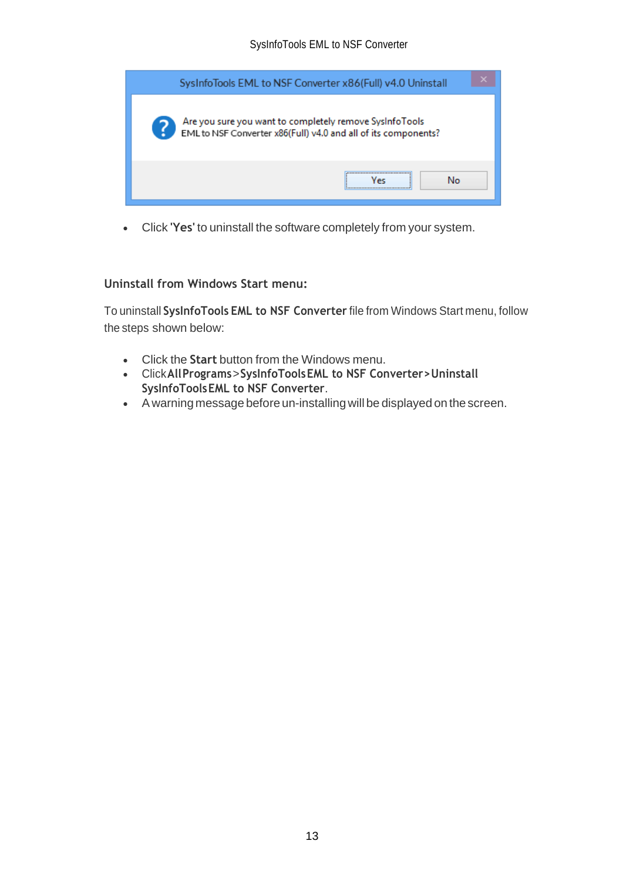| SysInfoTools EML to NSF Converter x86(Full) v4.0 Uninstall                                                                |
|---------------------------------------------------------------------------------------------------------------------------|
| Are you sure you want to completely remove SysInfoTools<br>EML to NSF Converter x86(Full) v4.0 and all of its components? |
| <br>No<br>Уес                                                                                                             |

• Click **'Yes'** to uninstall the software completely from your system.

#### **Uninstall from Windows Start menu:**

To uninstall **SysInfoTools EML to NSF Converter** file from Windows Start menu, follow the steps shown below:

- Click the **Start** button from the Windows menu.
- Click**AllPrograms**>**SysInfoToolsEML to NSF Converter>Uninstall SysInfoToolsEML to NSF Converter**.
- A warning message before un-installingwill be displayed on the screen.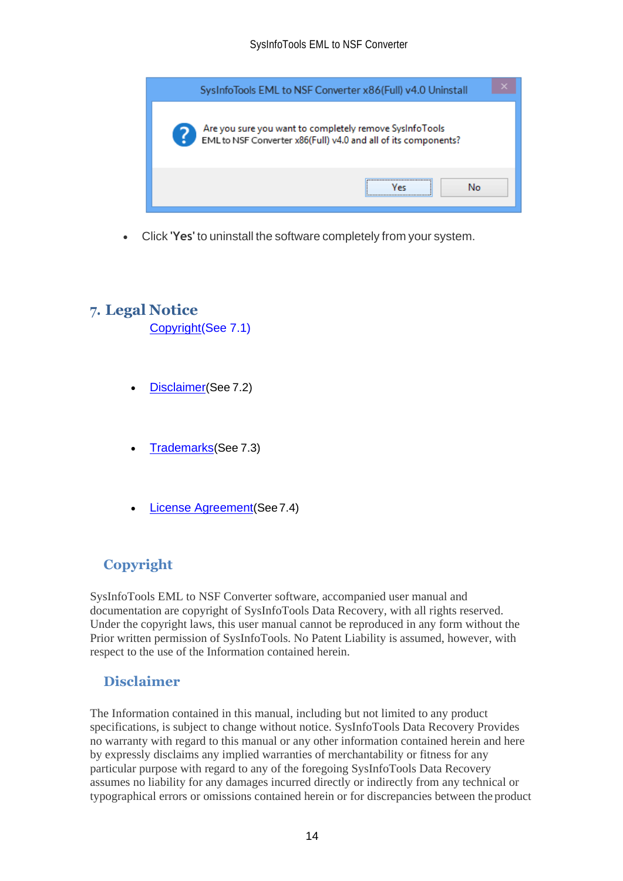

• Click **'Yes'** to uninstall the software completely from your system.

## <span id="page-14-0"></span>**7. Legal Notice**

[Copyright\(](#page-14-1)See 7.1)

- [Disclaimer](#page-14-2)(See 7.2)
- [Trademarks](#page-15-0)(See 7.3)
- [License Agreement](#page-15-1)(See7.4)

## <span id="page-14-1"></span>**Copyright**

SysInfoTools EML to NSF Converter software, accompanied user manual and documentation are copyright of SysInfoTools Data Recovery, with all rights reserved. Under the copyright laws, this user manual cannot be reproduced in any form without the Prior written permission of SysInfoTools. No Patent Liability is assumed, however, with respect to the use of the Information contained herein.

## <span id="page-14-2"></span>**Disclaimer**

The Information contained in this manual, including but not limited to any product specifications, is subject to change without notice. SysInfoTools Data Recovery Provides no warranty with regard to this manual or any other information contained herein and here by expressly disclaims any implied warranties of merchantability or fitness for any particular purpose with regard to any of the foregoing SysInfoTools Data Recovery assumes no liability for any damages incurred directly or indirectly from any technical or typographical errors or omissions contained herein or for discrepancies between the product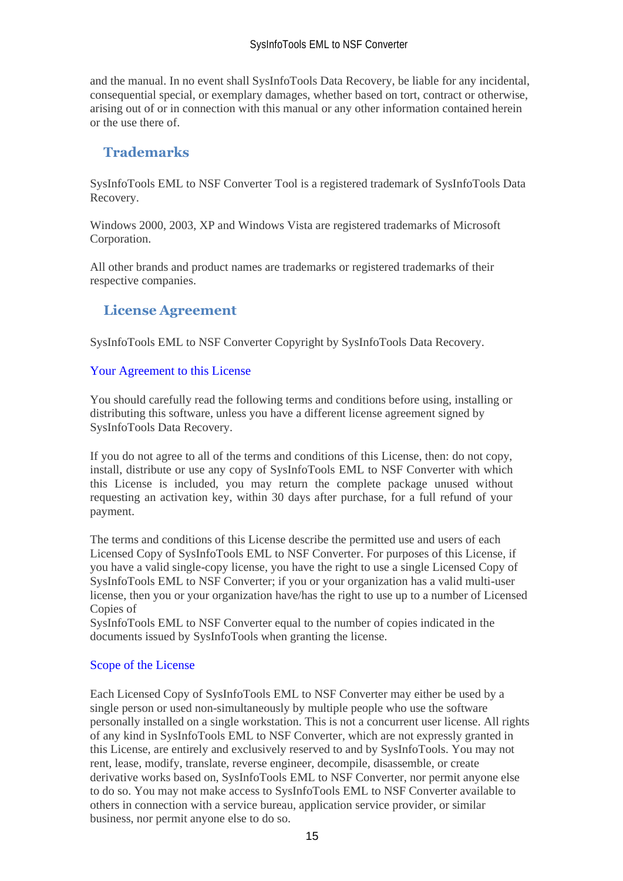and the manual. In no event shall SysInfoTools Data Recovery, be liable for any incidental, consequential special, or exemplary damages, whether based on tort, contract or otherwise, arising out of or in connection with this manual or any other information contained herein or the use there of.

## <span id="page-15-0"></span>**Trademarks**

SysInfoTools EML to NSF Converter Tool is a registered trademark of SysInfoTools Data Recovery.

Windows 2000, 2003, XP and Windows Vista are registered trademarks of Microsoft Corporation.

All other brands and product names are trademarks or registered trademarks of their respective companies.

## <span id="page-15-1"></span>**License Agreement**

SysInfoTools EML to NSF Converter Copyright by SysInfoTools Data Recovery.

#### Your Agreement to this License

You should carefully read the following terms and conditions before using, installing or distributing this software, unless you have a different license agreement signed by SysInfoTools Data Recovery.

If you do not agree to all of the terms and conditions of this License, then: do not copy, install, distribute or use any copy of SysInfoTools EML to NSF Converter with which this License is included, you may return the complete package unused without requesting an activation key, within 30 days after purchase, for a full refund of your payment.

The terms and conditions of this License describe the permitted use and users of each Licensed Copy of SysInfoTools EML to NSF Converter. For purposes of this License, if you have a valid single-copy license, you have the right to use a single Licensed Copy of SysInfoTools EML to NSF Converter; if you or your organization has a valid multi-user license, then you or your organization have/has the right to use up to a number of Licensed Copies of

SysInfoTools EML to NSF Converter equal to the number of copies indicated in the documents issued by SysInfoTools when granting the license.

#### Scope of the License

Each Licensed Copy of SysInfoTools EML to NSF Converter may either be used by a single person or used non-simultaneously by multiple people who use the software personally installed on a single workstation. This is not a concurrent user license. All rights of any kind in SysInfoTools EML to NSF Converter, which are not expressly granted in this License, are entirely and exclusively reserved to and by SysInfoTools. You may not rent, lease, modify, translate, reverse engineer, decompile, disassemble, or create derivative works based on, SysInfoTools EML to NSF Converter, nor permit anyone else to do so. You may not make access to SysInfoTools EML to NSF Converter available to others in connection with a service bureau, application service provider, or similar business, nor permit anyone else to do so.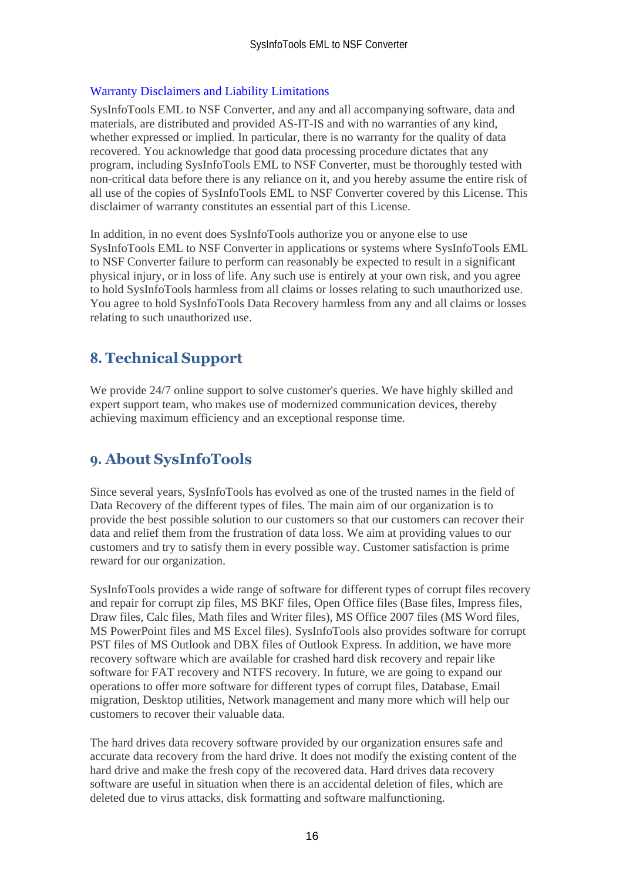#### Warranty Disclaimers and Liability Limitations

SysInfoTools EML to NSF Converter, and any and all accompanying software, data and materials, are distributed and provided AS-IT-IS and with no warranties of any kind, whether expressed or implied. In particular, there is no warranty for the quality of data recovered. You acknowledge that good data processing procedure dictates that any program, including SysInfoTools EML to NSF Converter, must be thoroughly tested with non-critical data before there is any reliance on it, and you hereby assume the entire risk of all use of the copies of SysInfoTools EML to NSF Converter covered by this License. This disclaimer of warranty constitutes an essential part of this License.

In addition, in no event does SysInfoTools authorize you or anyone else to use SysInfoTools EML to NSF Converter in applications or systems where SysInfoTools EML to NSF Converter failure to perform can reasonably be expected to result in a significant physical injury, or in loss of life. Any such use is entirely at your own risk, and you agree to hold SysInfoTools harmless from all claims or losses relating to such unauthorized use. You agree to hold SysInfoTools Data Recovery harmless from any and all claims or losses relating to such unauthorized use.

# <span id="page-16-0"></span>**8. Technical Support**

We provide 24/7 online support to solve customer's queries. We have highly skilled and expert support team, who makes use of modernized communication devices, thereby achieving maximum efficiency and an exceptional response time.

## <span id="page-16-1"></span>**9. About SysInfoTools**

Since several years, SysInfoTools has evolved as one of the trusted names in the field of Data Recovery of the different types of files. The main aim of our organization is to provide the best possible solution to our customers so that our customers can recover their data and relief them from the frustration of data loss. We aim at providing values to our customers and try to satisfy them in every possible way. Customer satisfaction is prime reward for our organization.

SysInfoTools provides a wide range of software for different types of corrupt files recovery and repair for corrupt zip files, MS BKF files, Open Office files (Base files, Impress files, Draw files, Calc files, Math files and Writer files), MS Office 2007 files (MS Word files, MS PowerPoint files and MS Excel files). SysInfoTools also provides software for corrupt PST files of MS Outlook and DBX files of Outlook Express. In addition, we have more recovery software which are available for crashed hard disk recovery and repair like software for FAT recovery and NTFS recovery. In future, we are going to expand our operations to offer more software for different types of corrupt files, Database, Email migration, Desktop utilities, Network management and many more which will help our customers to recover their valuable data.

The hard drives data recovery software provided by our organization ensures safe and accurate data recovery from the hard drive. It does not modify the existing content of the hard drive and make the fresh copy of the recovered data. Hard drives data recovery software are useful in situation when there is an accidental deletion of files, which are deleted due to virus attacks, disk formatting and software malfunctioning.